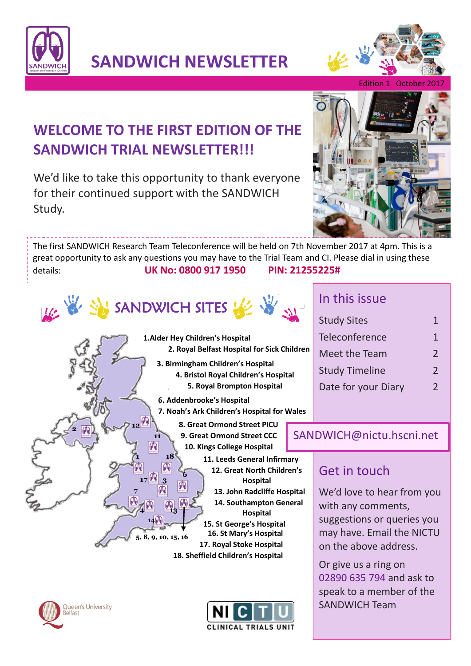

**SANDWICH NEWSLETTER**



Edition 1 October 20

# **WELCOME TO THE FIRST EDITION OF THE SANDWICH TRIAL NEWSLETTER!!!**

We'd like to take this opportunity to thank everyone for their continued support with the SANDWICH Study.



The first SANDWICH Research Team Teleconference will be held on 7th November 2017 at 4pm. This is a great opportunity to ask any questions you may have to the Trial Team and CI. Please dial in using these details: **UK No: 0800 917 1950 PIN: 21255225#**



**1**

**12**

GQ

**7**

**4**

**17**

**14**

**3**

**5, 8, 9, 10, 15, 16**

**18**

**13**

**11**

ØQ

**6**

**1.Alder Hey Children's Hospital 2. Royal Belfast Hospital for Sick Children**

- **3. Birmingham Children's Hospital 4. Bristol Royal Children's Hospital 5. Royal Brompton Hospital**
- **6. Addenbrooke's Hospital 7. Noah's Ark Children's Hospital for Wales**
	- **8. Great Ormond Street PICU 9. Great Ormond Street CCC 10. Kings College Hospital**
		- **11. Leeds General Infirmary 12. Great North Children's Hospital 13. John Radcliffe Hospital 14. Southampton General Hospital 15. St George's Hospital 16. St Mary's Hospital 17. Royal Stoke Hospital**

**18. Sheffield Children's Hospital** 



**2**



### In this issue

| <b>Study Sites</b>    | 1             |
|-----------------------|---------------|
| Teleconference        | 1             |
| Meet the Team         | $\mathcal{L}$ |
| <b>Study Timeline</b> | $\mathcal{L}$ |
| Date for your Diary   | $\mathcal{L}$ |

#### SANDWICH@nictu.hscni.net

## Get in touch

We'd love to hear from you with any comments, suggestions or queries you may have. Email the NICTU on the above address.

Or give us a ring on 02890 635 794 and ask to speak to a member of the SANDWICH Team